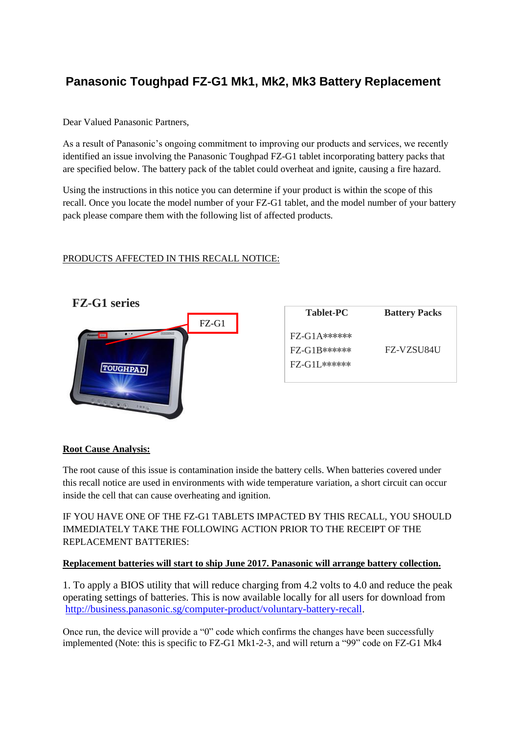# **Panasonic Toughpad FZ-G1 Mk1, Mk2, Mk3 Battery Replacement**

Dear Valued Panasonic Partners,

As a result of Panasonic's ongoing commitment to improving our products and services, we recently identified an issue involving the Panasonic Toughpad FZ-G1 tablet incorporating battery packs that are specified below. The battery pack of the tablet could overheat and ignite, causing a fire hazard.

Using the instructions in this notice you can determine if your product is within the scope of this recall. Once you locate the model number of your FZ-G1 tablet, and the model number of your battery pack please compare them with the following list of affected products.

# PRODUCTS AFFECTED IN THIS RECALL NOTICE:



#### **Root Cause Analysis:**

The root cause of this issue is contamination inside the battery cells. When batteries covered under this recall notice are used in environments with wide temperature variation, a short circuit can occur inside the cell that can cause overheating and ignition.

IF YOU HAVE ONE OF THE FZ-G1 TABLETS IMPACTED BY THIS RECALL, YOU SHOULD IMMEDIATELY TAKE THE FOLLOWING ACTION PRIOR TO THE RECEIPT OF THE REPLACEMENT BATTERIES:

## **Replacement batteries will start to ship June 2017. Panasonic will arrange battery collection.**

1. To apply a BIOS utility that will reduce charging from 4.2 volts to 4.0 and reduce the peak operating settings of batteries. This is now available locally for all users for download from [http://business.panasonic.sg/computer-product/voluntary-battery-recall.](http://business.panasonic.sg/computer-product/voluntary-battery-recall)

Once run, the device will provide a "0" code which confirms the changes have been successfully implemented (Note: this is specific to FZ-G1 Mk1-2-3, and will return a "99" code on FZ-G1 Mk4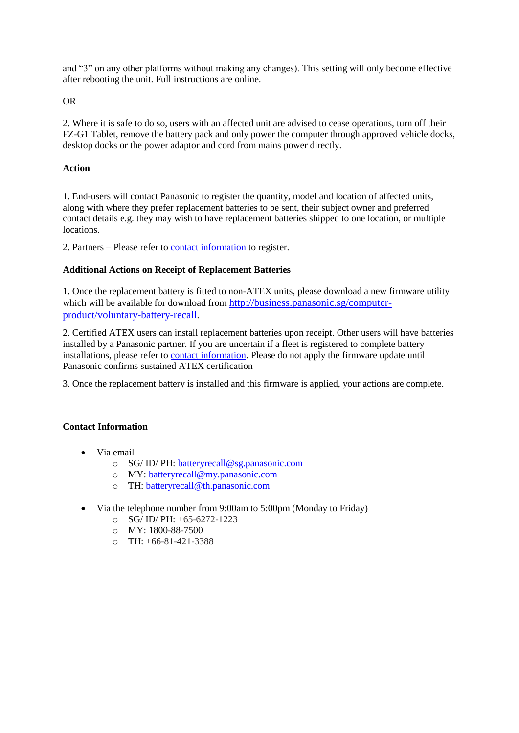and "3" on any other platforms without making any changes). This setting will only become effective after rebooting the unit. Full instructions are online.

OR

2. Where it is safe to do so, users with an affected unit are advised to cease operations, turn off their FZ-G1 Tablet, remove the battery pack and only power the computer through approved vehicle docks, desktop docks or the power adaptor and cord from mains power directly.

## **Action**

1. End-users will contact Panasonic to register the quantity, model and location of affected units, along with where they prefer replacement batteries to be sent, their subject owner and preferred contact details e.g. they may wish to have replacement batteries shipped to one location, or multiple locations.

2. Partners – Please refer to contact [information](#page-1-0) to register.

### **Additional Actions on Receipt of Replacement Batteries**

1. Once the replacement battery is fitted to non-ATEX units, please download a new firmware utility which will be available for download from [http://business.panasonic.sg/computer](http://business.panasonic.sg/computer-product/voluntary-battery-recall)[product/voluntary-battery-recall](http://business.panasonic.sg/computer-product/voluntary-battery-recall).

2. Certified ATEX users can install replacement batteries upon receipt. Other users will have batteries installed by a Panasonic partner. If you are uncertain if a fleet is registered to complete battery installations, please refer to contact [information.](#page-1-0) Please do not apply the firmware update until Panasonic confirms sustained ATEX certification

<span id="page-1-0"></span>3. Once the replacement battery is installed and this firmware is applied, your actions are complete.

### **Contact Information**

- Via email
	- o SG/ ID/ PH: [batteryrecall@sg.panasonic.com](mailto:batteryrecall@sg.panasonic.com)
	- o MY: [batteryrecall@my.panasonic.com](mailto:batteryrecall@my.panasonic.com)
	- o TH: [batteryrecall@th.panasonic.com](mailto:batteryrecall@th.panasonic.com)
- Via the telephone number from 9:00am to 5:00pm (Monday to Friday)
	- o SG/ ID/ PH: +65-6272-1223
	- $\alpha$  MY: 1800-88-7500
	- $O$  TH:  $+66-81-421-3388$